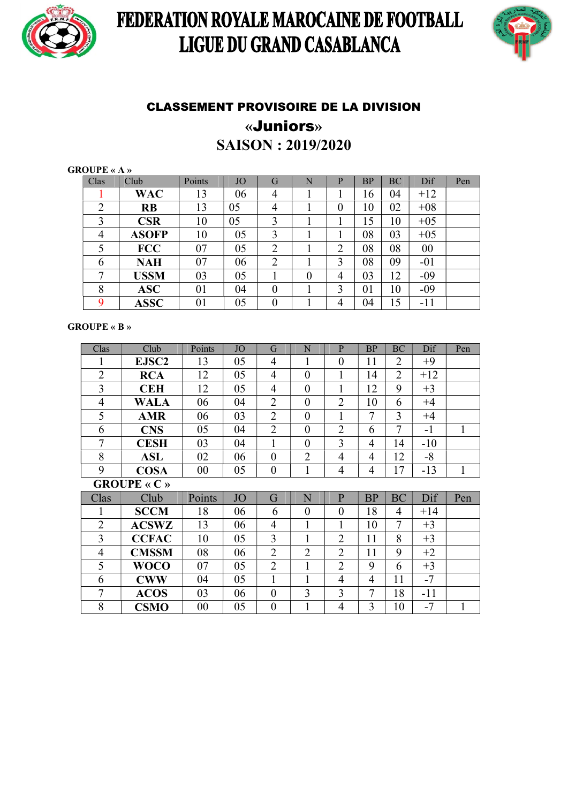

## FEDERATION ROYALE MAROCAINE DE FOOTBALL LIGUE DU GRAND CASABLANCA



### CLASSEMENT PROVISOIRE DE LA DIVISION «Juniors» SAISON : 2019/2020

GROUPE « A »

| Clas           | Club         | Points | <b>JO</b> | G              | N              | P              | <b>BP</b> | BC | Dif            | Pen |
|----------------|--------------|--------|-----------|----------------|----------------|----------------|-----------|----|----------------|-----|
|                | <b>WAC</b>   | 13     | 06        | 4              |                |                | 16        | 04 | $+12$          |     |
| $\overline{2}$ | <b>RB</b>    | 13     | 05        | 4              |                | 0              | 10        | 02 | $+08$          |     |
| 3              | <b>CSR</b>   | 10     | 05        | 3              |                |                | 15        | 10 | $+05$          |     |
| $\overline{4}$ | <b>ASOFP</b> | 10     | 05        | 3              |                |                | 08        | 03 | $+05$          |     |
| 5              | <b>FCC</b>   | 07     | 05        | $\overline{2}$ |                | $\overline{2}$ | 08        | 08 | 0 <sub>0</sub> |     |
| 6              | <b>NAH</b>   | 07     | 06        | $\overline{2}$ |                | 3              | 08        | 09 | $-01$          |     |
| ⇁              | <b>USSM</b>  | 03     | 05        |                | $\overline{0}$ | $\overline{4}$ | 03        | 12 | $-09$          |     |
| 8              | <b>ASC</b>   | 01     | 04        | $\overline{0}$ |                | 3              | 01        | 10 | $-09$          |     |
| $\mathbf Q$    | <b>ASSC</b>  | 01     | 05        | 0              |                | 4              | 04        | 15 | $-11$          |     |

#### GROUPE « B »

| Clas           | Club                | Points | <b>JO</b> | G                | N              | $\mathbf{P}$     | <b>BP</b>      | <b>BC</b>      | Dif   | Pen          |  |
|----------------|---------------------|--------|-----------|------------------|----------------|------------------|----------------|----------------|-------|--------------|--|
|                | EJSC <sub>2</sub>   | 13     | 05        | $\overline{4}$   | 1              | $\boldsymbol{0}$ | 11             | 2              | $+9$  |              |  |
| $\overline{2}$ | <b>RCA</b>          | 12     | 05        | $\overline{4}$   | $\overline{0}$ | 1                | 14             | $\overline{2}$ | $+12$ |              |  |
| 3              | <b>CEH</b>          | 12     | 05        | $\overline{4}$   | $\overline{0}$ | $\mathbf{1}$     | 12             | 9              | $+3$  |              |  |
| $\overline{4}$ | <b>WALA</b>         | 06     | 04        | $\overline{2}$   | $\theta$       | $\overline{2}$   | 10             | 6              | $+4$  |              |  |
| 5              | <b>AMR</b>          | 06     | 03        | $\overline{2}$   | $\theta$       | 1                | 7              | 3              | $+4$  |              |  |
| 6              | <b>CNS</b>          | 05     | 04        | $\overline{2}$   | $\overline{0}$ | $\overline{2}$   | 6              | $\overline{7}$ | $-1$  | $\mathbf{1}$ |  |
| $\overline{7}$ | <b>CESH</b>         | 03     | 04        | 1                | $\overline{0}$ | 3                | 4              | 14             | $-10$ |              |  |
| 8              | <b>ASL</b>          | 02     | 06        | $\overline{0}$   | $\overline{2}$ | $\overline{4}$   | $\overline{4}$ | 12             | $-8$  |              |  |
| 9              | <b>COSA</b>         | 00     | 05        | $\boldsymbol{0}$ | 1              | $\overline{4}$   | 4              | 17             | $-13$ | $\mathbf{1}$ |  |
|                | <b>GROUPE</b> « C » |        |           |                  |                |                  |                |                |       |              |  |
| Clas           | Club                | Points | <b>JO</b> | G                | N              | $\overline{P}$   | <b>BP</b>      | <b>BC</b>      | Dif   | Pen          |  |
| 1              | <b>SCCM</b>         | 18     | 06        | 6                | $\theta$       | $\theta$         | 18             | 4              | $+14$ |              |  |
| $\overline{2}$ | <b>ACSWZ</b>        | 13     | 06        | $\overline{4}$   | 1              | 1                | 10             | 7              | $+3$  |              |  |
| 3              | <b>CCFAC</b>        | 10     | 05        | 3                | $\mathbf{1}$   | $\overline{2}$   | 11             | 8              | $+3$  |              |  |
| $\overline{4}$ | <b>CMSSM</b>        | 08     | 06        | $\overline{2}$   | $\overline{2}$ | $\overline{2}$   | 11             | 9              | $+2$  |              |  |
| 5              | <b>WOCO</b>         | 07     | 05        | $\overline{2}$   | 1              | $\overline{2}$   | 9              | 6              | $+3$  |              |  |
| 6              | <b>CWW</b>          | 04     | 05        | 1                | 1              | $\overline{4}$   | 4              | 11             | $-7$  |              |  |
| $\overline{7}$ | <b>ACOS</b>         | 03     | 06        | $\overline{0}$   | 3              | 3                | 7              | 18             | -11   |              |  |
| 8              | <b>CSMO</b>         | 00     | 05        | $\overline{0}$   | 1              | $\overline{4}$   | 3              | 10             | $-7$  | 1            |  |